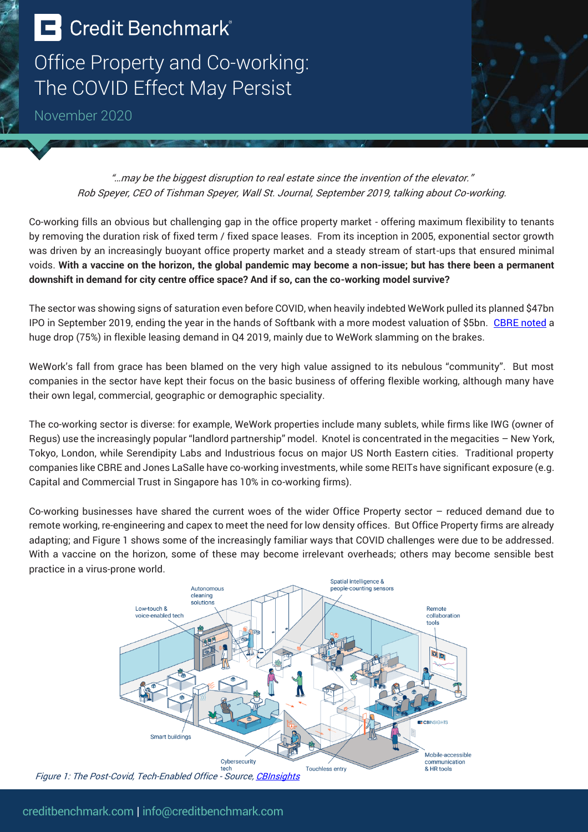## **E** Credit Benchmark®

Office Property and Co-working: The COVID Effect May Persist

November 2020



"…may be the biggest disruption to real estate since the invention of the elevator." Rob Speyer, CEO of Tishman Speyer, Wall St. Journal, September 2019, talking about Co-working.

Co-working fills an obvious but challenging gap in the office property market - offering maximum flexibility to tenants by removing the duration risk of fixed term / fixed space leases. From its inception in 2005, exponential sector growth was driven by an increasingly buoyant office property market and a steady stream of start-ups that ensured minimal voids. **With a vaccine on the horizon, the global pandemic may become a non-issue; but has there been a permanent downshift in demand for city centre office space? And if so, can the co-working model survive?**

The sector was showing signs of saturation even before COVID, when heavily indebted WeWork pulled its planned \$47bn IPO in September 2019, ending the year in the hands of Softbank with a more modest valuation of \$5bn. [CBRE noted](https://www.cbre.com/agile-real-estate/Precipitous-Drop-in-Q4-2019-Flexible-Office-Leasing?article=%7BC2C732F9-948B-472A-A1A4-232754D08E7B%7D&feedid=064af4d2-c485-45be-9744-afa7ca45de52) a huge drop (75%) in flexible leasing demand in Q4 2019, mainly due to WeWork slamming on the brakes.

WeWork's fall from grace has been blamed on the very high value assigned to its nebulous "community". But most companies in the sector have kept their focus on the basic business of offering flexible working, although many have their own legal, commercial, geographic or demographic speciality.

The co-working sector is diverse: for example, WeWork properties include many sublets, while firms like IWG (owner of Regus) use the increasingly popular "landlord partnership" model. Knotel is concentrated in the megacities – New York, Tokyo, London, while Serendipity Labs and Industrious focus on major US North Eastern cities. Traditional property companies like CBRE and Jones LaSalle have co-working investments, while some REITs have significant exposure (e.g. Capital and Commercial Trust in Singapore has 10% in co-working firms).

Co-working businesses have shared the current woes of the wider Office Property sector – reduced demand due to remote working, re-engineering and capex to meet the need for low density offices. But Office Property firms are already adapting; and Figure 1 shows some of the increasingly familiar ways that COVID challenges were due to be addressed. With a vaccine on the horizon, some of these may become irrelevant overheads; others may become sensible best practice in a virus-prone world.